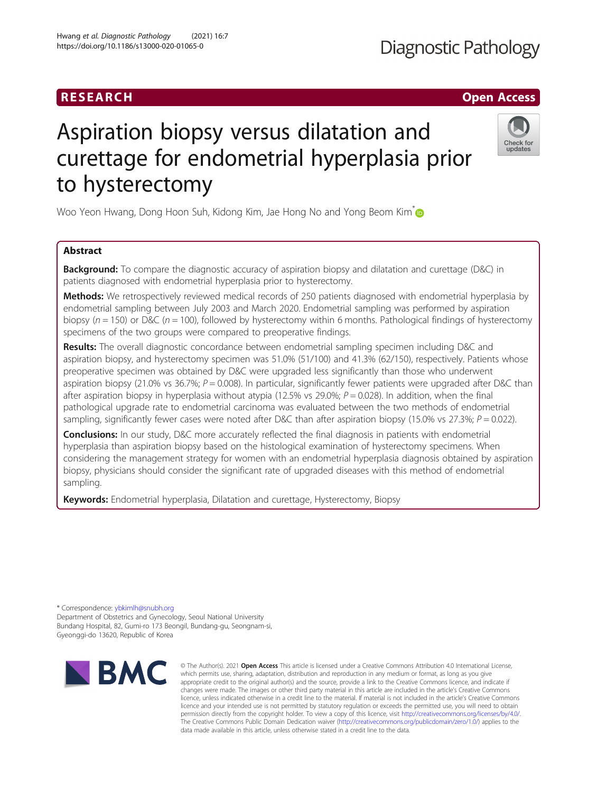# RESEARCH **RESEARCH CHANNEL CONTROL**

# Aspiration biopsy versus dilatation and curettage for endometrial hyperplasia prior to hysterectomy

Woo Yeon Hwang, Dong Hoon Suh, Kidong Kim, Jae Hong No and Yong Beom Kim<sup>[\\*](http://orcid.org/0000-0003-1196-369X)</sup>

# Abstract

**Background:** To compare the diagnostic accuracy of aspiration biopsy and dilatation and curettage (D&C) in patients diagnosed with endometrial hyperplasia prior to hysterectomy.

Methods: We retrospectively reviewed medical records of 250 patients diagnosed with endometrial hyperplasia by endometrial sampling between July 2003 and March 2020. Endometrial sampling was performed by aspiration biopsy ( $n = 150$ ) or D&C ( $n = 100$ ), followed by hysterectomy within 6 months. Pathological findings of hysterectomy specimens of the two groups were compared to preoperative findings.

Results: The overall diagnostic concordance between endometrial sampling specimen including D&C and aspiration biopsy, and hysterectomy specimen was 51.0% (51/100) and 41.3% (62/150), respectively. Patients whose preoperative specimen was obtained by D&C were upgraded less significantly than those who underwent aspiration biopsy (21.0% vs 36.7%;  $P = 0.008$ ). In particular, significantly fewer patients were upgraded after D&C than after aspiration biopsy in hyperplasia without atypia (12.5% vs 29.0%;  $P = 0.028$ ). In addition, when the final pathological upgrade rate to endometrial carcinoma was evaluated between the two methods of endometrial sampling, significantly fewer cases were noted after D&C than after aspiration biopsy (15.0% vs 27.3%;  $P = 0.022$ ).

**Conclusions:** In our study, D&C more accurately reflected the final diagnosis in patients with endometrial hyperplasia than aspiration biopsy based on the histological examination of hysterectomy specimens. When considering the management strategy for women with an endometrial hyperplasia diagnosis obtained by aspiration biopsy, physicians should consider the significant rate of upgraded diseases with this method of endometrial sampling.

Keywords: Endometrial hyperplasia, Dilatation and curettage, Hysterectomy, Biopsy

\* Correspondence: [ybkimlh@snubh.org](mailto:ybkimlh@snubh.org) Department of Obstetrics and Gynecology, Seoul National University Bundang Hospital, 82, Gumi-ro 173 Beongil, Bundang-gu, Seongnam-si, Gyeonggi-do 13620, Republic of Korea





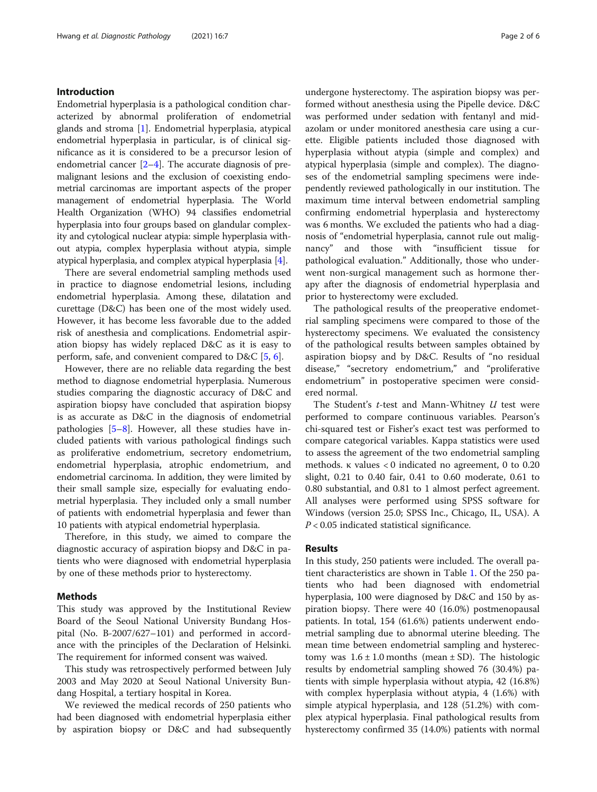# Introduction

Endometrial hyperplasia is a pathological condition characterized by abnormal proliferation of endometrial glands and stroma [\[1](#page-5-0)]. Endometrial hyperplasia, atypical endometrial hyperplasia in particular, is of clinical significance as it is considered to be a precursor lesion of endometrial cancer  $[2-4]$  $[2-4]$  $[2-4]$  $[2-4]$  $[2-4]$ . The accurate diagnosis of premalignant lesions and the exclusion of coexisting endometrial carcinomas are important aspects of the proper management of endometrial hyperplasia. The World Health Organization (WHO) 94 classifies endometrial hyperplasia into four groups based on glandular complexity and cytological nuclear atypia: simple hyperplasia without atypia, complex hyperplasia without atypia, simple atypical hyperplasia, and complex atypical hyperplasia [\[4\]](#page-5-0).

There are several endometrial sampling methods used in practice to diagnose endometrial lesions, including endometrial hyperplasia. Among these, dilatation and curettage (D&C) has been one of the most widely used. However, it has become less favorable due to the added risk of anesthesia and complications. Endometrial aspiration biopsy has widely replaced D&C as it is easy to perform, safe, and convenient compared to D&C [[5,](#page-5-0) [6\]](#page-5-0).

However, there are no reliable data regarding the best method to diagnose endometrial hyperplasia. Numerous studies comparing the diagnostic accuracy of D&C and aspiration biopsy have concluded that aspiration biopsy is as accurate as D&C in the diagnosis of endometrial pathologies  $[5-8]$  $[5-8]$  $[5-8]$  $[5-8]$ . However, all these studies have included patients with various pathological findings such as proliferative endometrium, secretory endometrium, endometrial hyperplasia, atrophic endometrium, and endometrial carcinoma. In addition, they were limited by their small sample size, especially for evaluating endometrial hyperplasia. They included only a small number of patients with endometrial hyperplasia and fewer than 10 patients with atypical endometrial hyperplasia.

Therefore, in this study, we aimed to compare the diagnostic accuracy of aspiration biopsy and D&C in patients who were diagnosed with endometrial hyperplasia by one of these methods prior to hysterectomy.

# Methods

This study was approved by the Institutional Review Board of the Seoul National University Bundang Hospital (No. B-2007/627–101) and performed in accordance with the principles of the Declaration of Helsinki. The requirement for informed consent was waived.

This study was retrospectively performed between July 2003 and May 2020 at Seoul National University Bundang Hospital, a tertiary hospital in Korea.

We reviewed the medical records of 250 patients who had been diagnosed with endometrial hyperplasia either by aspiration biopsy or D&C and had subsequently

undergone hysterectomy. The aspiration biopsy was performed without anesthesia using the Pipelle device. D&C was performed under sedation with fentanyl and midazolam or under monitored anesthesia care using a curette. Eligible patients included those diagnosed with hyperplasia without atypia (simple and complex) and atypical hyperplasia (simple and complex). The diagnoses of the endometrial sampling specimens were independently reviewed pathologically in our institution. The maximum time interval between endometrial sampling confirming endometrial hyperplasia and hysterectomy was 6 months. We excluded the patients who had a diagnosis of "endometrial hyperplasia, cannot rule out malignancy" and those with "insufficient tissue for pathological evaluation." Additionally, those who underwent non-surgical management such as hormone therapy after the diagnosis of endometrial hyperplasia and prior to hysterectomy were excluded.

The pathological results of the preoperative endometrial sampling specimens were compared to those of the hysterectomy specimens. We evaluated the consistency of the pathological results between samples obtained by aspiration biopsy and by D&C. Results of "no residual disease," "secretory endometrium," and "proliferative endometrium" in postoperative specimen were considered normal.

The Student's  $t$ -test and Mann-Whitney  $U$  test were performed to compare continuous variables. Pearson's chi-squared test or Fisher's exact test was performed to compare categorical variables. Kappa statistics were used to assess the agreement of the two endometrial sampling methods. κ values < 0 indicated no agreement, 0 to 0.20 slight, 0.21 to 0.40 fair, 0.41 to 0.60 moderate, 0.61 to 0.80 substantial, and 0.81 to 1 almost perfect agreement. All analyses were performed using SPSS software for Windows (version 25.0; SPSS Inc., Chicago, IL, USA). A  $P < 0.05$  indicated statistical significance.

# Results

In this study, 250 patients were included. The overall patient characteristics are shown in Table [1.](#page-2-0) Of the 250 patients who had been diagnosed with endometrial hyperplasia, 100 were diagnosed by D&C and 150 by aspiration biopsy. There were 40 (16.0%) postmenopausal patients. In total, 154 (61.6%) patients underwent endometrial sampling due to abnormal uterine bleeding. The mean time between endometrial sampling and hysterectomy was  $1.6 \pm 1.0$  months (mean  $\pm$  SD). The histologic results by endometrial sampling showed 76 (30.4%) patients with simple hyperplasia without atypia, 42 (16.8%) with complex hyperplasia without atypia, 4 (1.6%) with simple atypical hyperplasia, and 128 (51.2%) with complex atypical hyperplasia. Final pathological results from hysterectomy confirmed 35 (14.0%) patients with normal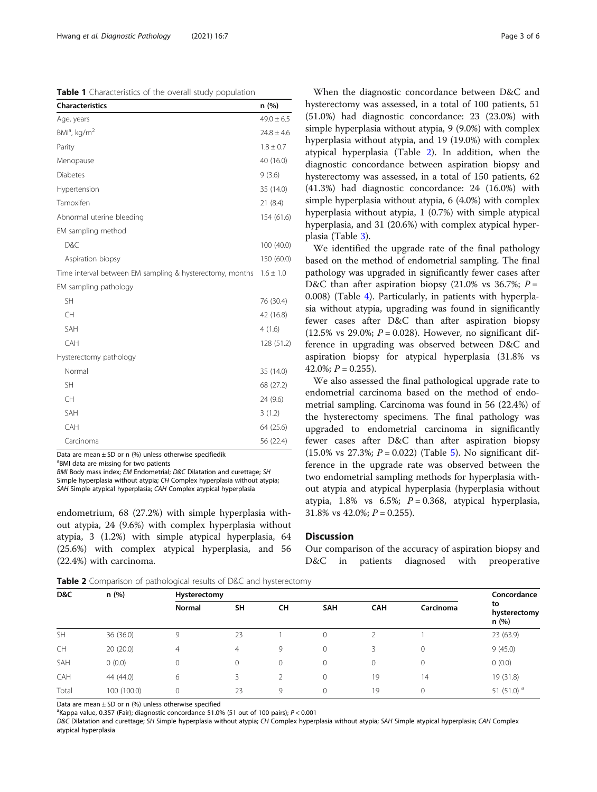<span id="page-2-0"></span>Table 1 Characteristics of the overall study population

| <b>Characteristics</b>                                   | n (%)          |
|----------------------------------------------------------|----------------|
| Age, years                                               | $49.0 \pm 6.5$ |
| $BMla$ , kg/m <sup>2</sup>                               | $24.8 \pm 4.6$ |
| Parity                                                   | $1.8 \pm 0.7$  |
| Menopause                                                | 40 (16.0)      |
| <b>Diabetes</b>                                          | 9(3.6)         |
| Hypertension                                             | 35 (14.0)      |
| Tamoxifen                                                | 21(8.4)        |
| Abnormal uterine bleeding                                | 154 (61.6)     |
| EM sampling method                                       |                |
| D&C                                                      | 100 (40.0)     |
| Aspiration biopsy                                        | 150 (60.0)     |
| Time interval between EM sampling & hysterectomy, months | $1.6 \pm 1.0$  |
| EM sampling pathology                                    |                |
| <b>SH</b>                                                | 76 (30.4)      |
| CH                                                       | 42 (16.8)      |
| SAH                                                      | 4(1.6)         |
| CAH                                                      | 128 (51.2)     |
| Hysterectomy pathology                                   |                |
| Normal                                                   | 35 (14.0)      |
| <b>SH</b>                                                | 68 (27.2)      |
| CH                                                       | 24 (9.6)       |
| SAH                                                      | 3(1.2)         |
| CAH                                                      | 64 (25.6)      |
| Carcinoma                                                | 56 (22.4)      |

Data are mean  $\pm$  SD or n (%) unless otherwise specifiedik

<sup>a</sup>BMI data are missing for two patients

BMI Body mass index; EM Endometrial; D&C Dilatation and curettage; SH Simple hyperplasia without atypia; CH Complex hyperplasia without atypia; SAH Simple atypical hyperplasia; CAH Complex atypical hyperplasia

endometrium, 68 (27.2%) with simple hyperplasia without atypia, 24 (9.6%) with complex hyperplasia without atypia, 3 (1.2%) with simple atypical hyperplasia, 64 (25.6%) with complex atypical hyperplasia, and 56 (22.4%) with carcinoma.

When the diagnostic concordance between D&C and hysterectomy was assessed, in a total of 100 patients, 51 (51.0%) had diagnostic concordance: 23 (23.0%) with simple hyperplasia without atypia, 9 (9.0%) with complex hyperplasia without atypia, and 19 (19.0%) with complex atypical hyperplasia (Table 2). In addition, when the diagnostic concordance between aspiration biopsy and hysterectomy was assessed, in a total of 150 patients, 62 (41.3%) had diagnostic concordance: 24 (16.0%) with simple hyperplasia without atypia, 6 (4.0%) with complex hyperplasia without atypia, 1 (0.7%) with simple atypical hyperplasia, and 31 (20.6%) with complex atypical hyperplasia (Table [3\)](#page-3-0).

We identified the upgrade rate of the final pathology based on the method of endometrial sampling. The final pathology was upgraded in significantly fewer cases after D&C than after aspiration biopsy (21.0% vs 36.7%;  $P =$ 0.008) (Table [4](#page-3-0)). Particularly, in patients with hyperplasia without atypia, upgrading was found in significantly fewer cases after D&C than after aspiration biopsy (12.5% vs 29.0%;  $P = 0.028$ ). However, no significant difference in upgrading was observed between D&C and aspiration biopsy for atypical hyperplasia (31.8% vs 42.0%;  $P = 0.255$ ).

We also assessed the final pathological upgrade rate to endometrial carcinoma based on the method of endometrial sampling. Carcinoma was found in 56 (22.4%) of the hysterectomy specimens. The final pathology was upgraded to endometrial carcinoma in significantly fewer cases after D&C than after aspiration biopsy (1[5](#page-4-0).0% vs 27.3%;  $P = 0.022$ ) (Table 5). No significant difference in the upgrade rate was observed between the two endometrial sampling methods for hyperplasia without atypia and atypical hyperplasia (hyperplasia without atypia, 1.8% vs 6.5%;  $P = 0.368$ , atypical hyperplasia, 31.8% vs 42.0%;  $P = 0.255$ ).

# **Discussion**

Our comparison of the accuracy of aspiration biopsy and D&C in patients diagnosed with preoperative

**Table 2** Comparison of pathological results of D&C and hysterectomy

| D&C       | n(%)        | Hysterectomy  | Concordance |          |            |              |           |                             |
|-----------|-------------|---------------|-------------|----------|------------|--------------|-----------|-----------------------------|
|           |             | <b>Normal</b> | SH          | CH       | <b>SAH</b> | <b>CAH</b>   | Carcinoma | to<br>hysterectomy<br>n (%) |
| <b>SH</b> | 36 (36.0)   | 9             | 23          |          | 0          |              |           | 23 (63.9)                   |
| <b>CH</b> | 20(20.0)    | 4             | 4           | 9        | 0          | 3            |           | 9(45.0)                     |
| SAH       | 0(0.0)      | 0             | 0           | $\Omega$ | 0          | $\mathbf{0}$ |           | 0(0.0)                      |
| CAH       | 44 (44.0)   | 6             | 3           |          | 0          | 19           | 14        | 19 (31.8)                   |
| Total     | 100 (100.0) | 0             | 23          | 9        | 0          | 19           |           | 51 $(51.0)^a$               |

Data are mean  $\pm$  SD or n (%) unless otherwise specified

<sup>a</sup>Kappa value, 0.357 (Fair); diagnostic concordance 51.0% (51 out of 100 pairs);  $P < 0.001$ <br>D<sup>ec</sup> Dilatation and curettage: SH Simple bynarplacia without atypia: CH Complex bynar

D&C Dilatation and curettage; SH Simple hyperplasia without atypia; CH Complex hyperplasia without atypia; SAH Simple atypical hyperplasia; CAH Complex atypical hyperplasia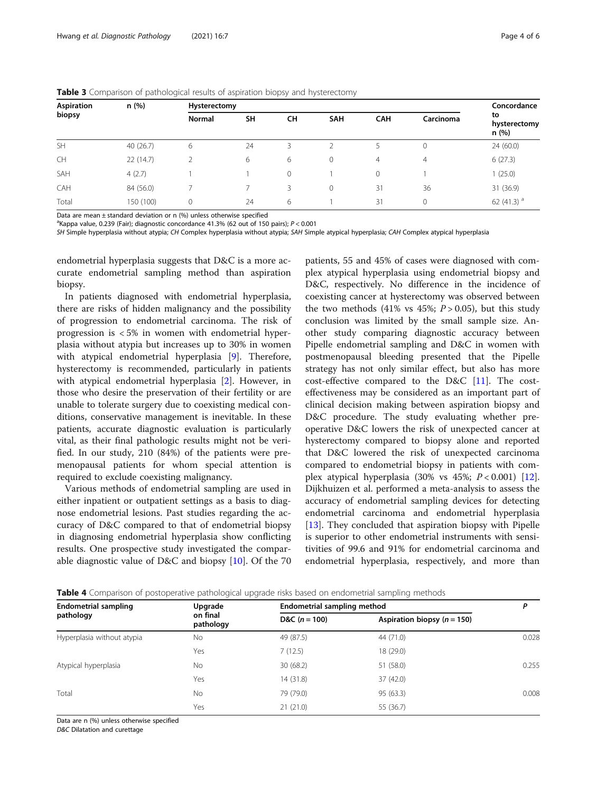| <b>Aspiration</b><br>biopsy | n (%)     | Hysterectomy  |    |         |              |              |           |                             |  |
|-----------------------------|-----------|---------------|----|---------|--------------|--------------|-----------|-----------------------------|--|
|                             |           | <b>Normal</b> | SH | CH      | <b>SAH</b>   | <b>CAH</b>   | Carcinoma | to<br>hysterectomy<br>n (%) |  |
| <b>SH</b>                   | 40(26.7)  | 6             | 24 | 3       |              |              | 0         | 24(60.0)                    |  |
| <b>CH</b>                   | 22 (14.7) |               | 6  | 6       | $\mathbf{0}$ | 4            | 4         | 6(27.3)                     |  |
| SAH                         | 4(2.7)    |               |    | $\circ$ |              | $\mathbf{0}$ |           | (25.0)                      |  |
| CAH                         | 84 (56.0) |               |    | 3       | $\mathbf{0}$ | 31           | 36        | 31 (36.9)                   |  |
| Total                       | 150 (100) | $\mathbf{0}$  | 24 | 6       |              | 31           | 0         | 62 $(41.3)$ <sup>a</sup>    |  |

<span id="page-3-0"></span>Table 3 Comparison of pathological results of aspiration biopsy and hysterectomy

Data are mean  $\pm$  standard deviation or n (%) unless otherwise specified

a<br>Kappa value, 0.239 (Fair); diagnostic concordance 41.3% (62 out of 150 pairs); P < 0.001<br>SH Simple byperplasia without atypia: CH Complex byperplasia without atypia: S4H Simp

SH Simple hyperplasia without atypia; CH Complex hyperplasia without atypia; SAH Simple atypical hyperplasia; CAH Complex atypical hyperplasia

endometrial hyperplasia suggests that D&C is a more accurate endometrial sampling method than aspiration biopsy.

In patients diagnosed with endometrial hyperplasia, there are risks of hidden malignancy and the possibility of progression to endometrial carcinoma. The risk of progression is < 5% in women with endometrial hyperplasia without atypia but increases up to 30% in women with atypical endometrial hyperplasia [\[9\]](#page-5-0). Therefore, hysterectomy is recommended, particularly in patients with atypical endometrial hyperplasia [[2\]](#page-5-0). However, in those who desire the preservation of their fertility or are unable to tolerate surgery due to coexisting medical conditions, conservative management is inevitable. In these patients, accurate diagnostic evaluation is particularly vital, as their final pathologic results might not be verified. In our study, 210 (84%) of the patients were premenopausal patients for whom special attention is required to exclude coexisting malignancy.

Various methods of endometrial sampling are used in either inpatient or outpatient settings as a basis to diagnose endometrial lesions. Past studies regarding the accuracy of D&C compared to that of endometrial biopsy in diagnosing endometrial hyperplasia show conflicting results. One prospective study investigated the comparable diagnostic value of D&C and biopsy [\[10](#page-5-0)]. Of the 70

patients, 55 and 45% of cases were diagnosed with complex atypical hyperplasia using endometrial biopsy and D&C, respectively. No difference in the incidence of coexisting cancer at hysterectomy was observed between the two methods  $(41\% \text{ vs } 45\%; P > 0.05)$ , but this study conclusion was limited by the small sample size. Another study comparing diagnostic accuracy between Pipelle endometrial sampling and D&C in women with postmenopausal bleeding presented that the Pipelle strategy has not only similar effect, but also has more cost-effective compared to the D&C [[11\]](#page-5-0). The costeffectiveness may be considered as an important part of clinical decision making between aspiration biopsy and D&C procedure. The study evaluating whether preoperative D&C lowers the risk of unexpected cancer at hysterectomy compared to biopsy alone and reported that D&C lowered the risk of unexpected carcinoma compared to endometrial biopsy in patients with complex atypical hyperplasia  $(30\% \text{ vs } 45\%; P < 0.001)$  [\[12](#page-5-0)]. Dijkhuizen et al. performed a meta-analysis to assess the accuracy of endometrial sampling devices for detecting endometrial carcinoma and endometrial hyperplasia [[13\]](#page-5-0). They concluded that aspiration biopsy with Pipelle is superior to other endometrial instruments with sensitivities of 99.6 and 91% for endometrial carcinoma and endometrial hyperplasia, respectively, and more than

**Table 4** Comparison of postoperative pathological upgrade risks based on endometrial sampling methods

| <b>Endometrial sampling</b> | Upgrade               | Endometrial sampling method |                               |       |  |
|-----------------------------|-----------------------|-----------------------------|-------------------------------|-------|--|
| pathology                   | on final<br>pathology | D&C $(n = 100)$             | Aspiration biopsy $(n = 150)$ |       |  |
| Hyperplasia without atypia  | No                    | 49 (87.5)                   | 44 (71.0)                     | 0.028 |  |
|                             | Yes                   | 7(12.5)                     | 18 (29.0)                     |       |  |
| Atypical hyperplasia        | No                    | 30(68.2)                    | 51 (58.0)                     | 0.255 |  |
|                             | Yes                   | 14 (31.8)                   | 37 (42.0)                     |       |  |
| Total                       | No                    | 79 (79.0)                   | 95 (63.3)                     | 0.008 |  |
|                             | Yes                   | 21(21.0)                    | 55 (36.7)                     |       |  |

Data are n (%) unless otherwise specified

D&C Dilatation and curettage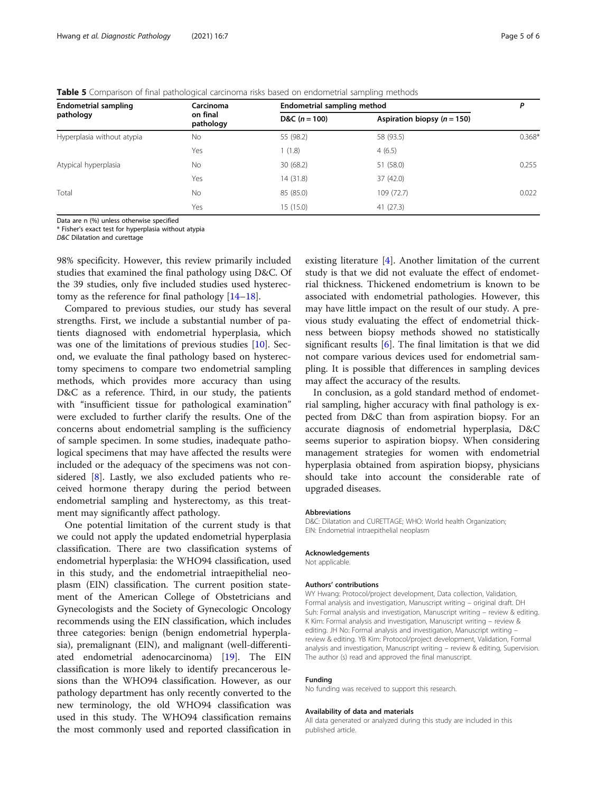<span id="page-4-0"></span>

|  | <b>Table 5</b> Comparison of final pathological carcinoma risks based on endometrial sampling methods |  |  |  |
|--|-------------------------------------------------------------------------------------------------------|--|--|--|
|  |                                                                                                       |  |  |  |

| <b>Endometrial sampling</b> | Carcinoma             | <b>Endometrial sampling method</b> | Ρ                               |          |
|-----------------------------|-----------------------|------------------------------------|---------------------------------|----------|
| pathology                   | on final<br>pathology | D&C $(n = 100)$                    | Aspiration biopsy ( $n = 150$ ) |          |
| Hyperplasia without atypia  | <b>No</b>             | 55 (98.2)                          | 58 (93.5)                       | $0.368*$ |
|                             | Yes                   | 1(1.8)                             | 4(6.5)                          |          |
| Atypical hyperplasia        | No.                   | 30(68.2)                           | 51 (58.0)                       | 0.255    |
|                             | Yes                   | 14(31.8)                           | 37 (42.0)                       |          |
| Total                       | No.                   | 85 (85.0)                          | 109 (72.7)                      | 0.022    |
|                             | Yes                   | 15(15.0)                           | 41(27.3)                        |          |

Data are n (%) unless otherwise specified

\* Fisher's exact test for hyperplasia without atypia

D&C Dilatation and curettage

98% specificity. However, this review primarily included studies that examined the final pathology using D&C. Of the 39 studies, only five included studies used hysterectomy as the reference for final pathology [\[14](#page-5-0)–[18](#page-5-0)].

Compared to previous studies, our study has several strengths. First, we include a substantial number of patients diagnosed with endometrial hyperplasia, which was one of the limitations of previous studies [\[10](#page-5-0)]. Second, we evaluate the final pathology based on hysterectomy specimens to compare two endometrial sampling methods, which provides more accuracy than using D&C as a reference. Third, in our study, the patients with "insufficient tissue for pathological examination" were excluded to further clarify the results. One of the concerns about endometrial sampling is the sufficiency of sample specimen. In some studies, inadequate pathological specimens that may have affected the results were included or the adequacy of the specimens was not considered [\[8](#page-5-0)]. Lastly, we also excluded patients who received hormone therapy during the period between endometrial sampling and hysterectomy, as this treatment may significantly affect pathology.

One potential limitation of the current study is that we could not apply the updated endometrial hyperplasia classification. There are two classification systems of endometrial hyperplasia: the WHO94 classification, used in this study, and the endometrial intraepithelial neoplasm (EIN) classification. The current position statement of the American College of Obstetricians and Gynecologists and the Society of Gynecologic Oncology recommends using the EIN classification, which includes three categories: benign (benign endometrial hyperplasia), premalignant (EIN), and malignant (well-differentiated endometrial adenocarcinoma) [\[19](#page-5-0)]. The EIN classification is more likely to identify precancerous lesions than the WHO94 classification. However, as our pathology department has only recently converted to the new terminology, the old WHO94 classification was used in this study. The WHO94 classification remains the most commonly used and reported classification in

existing literature [\[4](#page-5-0)]. Another limitation of the current study is that we did not evaluate the effect of endometrial thickness. Thickened endometrium is known to be associated with endometrial pathologies. However, this may have little impact on the result of our study. A previous study evaluating the effect of endometrial thickness between biopsy methods showed no statistically significant results  $[6]$  $[6]$ . The final limitation is that we did not compare various devices used for endometrial sampling. It is possible that differences in sampling devices may affect the accuracy of the results.

In conclusion, as a gold standard method of endometrial sampling, higher accuracy with final pathology is expected from D&C than from aspiration biopsy. For an accurate diagnosis of endometrial hyperplasia, D&C seems superior to aspiration biopsy. When considering management strategies for women with endometrial hyperplasia obtained from aspiration biopsy, physicians should take into account the considerable rate of upgraded diseases.

# Abbreviations

D&C: Dilatation and CURETTAGE; WHO: World health Organization; EIN: Endometrial intraepithelial neoplasm

#### Acknowledgements

Not applicable.

#### Authors' contributions

WY Hwang: Protocol/project development, Data collection, Validation, Formal analysis and investigation, Manuscript writing – original draft. DH Suh: Formal analysis and investigation, Manuscript writing – review & editing. K Kim: Formal analysis and investigation, Manuscript writing – review & editing. JH No: Formal analysis and investigation, Manuscript writing – review & editing. YB Kim: Protocol/project development, Validation, Formal analysis and investigation, Manuscript writing – review & editing, Supervision. The author (s) read and approved the final manuscript.

#### Funding

No funding was received to support this research.

#### Availability of data and materials

All data generated or analyzed during this study are included in this published article.